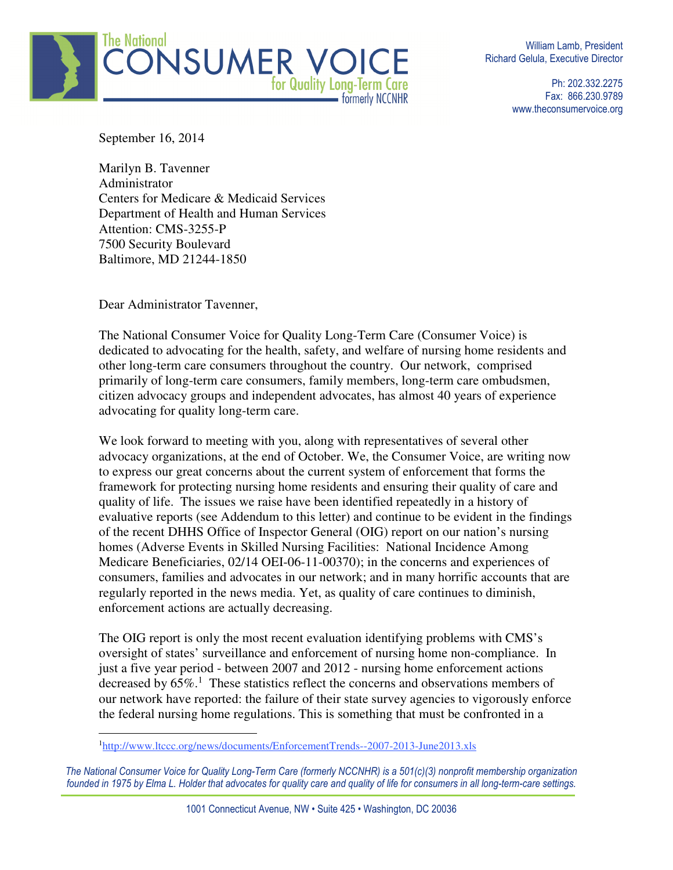

William Lamb, President Richard Gelula, Executive Director

> Ph: 202.332.2275 Fax: 866.230.9789 www.theconsumervoice.org

September 16, 2014

Marilyn B. Tavenner Administrator Centers for Medicare & Medicaid Services Department of Health and Human Services Attention: CMS-3255-P 7500 Security Boulevard Baltimore, MD 21244-1850

Dear Administrator Tavenner,

 $\overline{a}$ 

The National Consumer Voice for Quality Long-Term Care (Consumer Voice) is dedicated to advocating for the health, safety, and welfare of nursing home residents and other long-term care consumers throughout the country. Our network, comprised primarily of long-term care consumers, family members, long-term care ombudsmen, citizen advocacy groups and independent advocates, has almost 40 years of experience advocating for quality long-term care.

We look forward to meeting with you, along with representatives of several other advocacy organizations, at the end of October. We, the Consumer Voice, are writing now to express our great concerns about the current system of enforcement that forms the framework for protecting nursing home residents and ensuring their quality of care and quality of life. The issues we raise have been identified repeatedly in a history of evaluative reports (see Addendum to this letter) and continue to be evident in the findings of the recent DHHS Office of Inspector General (OIG) report on our nation's nursing homes (Adverse Events in Skilled Nursing Facilities: National Incidence Among Medicare Beneficiaries, 02/14 OEI-06-11-00370); in the concerns and experiences of consumers, families and advocates in our network; and in many horrific accounts that are regularly reported in the news media. Yet, as quality of care continues to diminish, enforcement actions are actually decreasing.

The OIG report is only the most recent evaluation identifying problems with CMS's oversight of states' surveillance and enforcement of nursing home non-compliance. In just a five year period - between 2007 and 2012 - nursing home enforcement actions decreased by  $65\%$ .<sup>1</sup> These statistics reflect the concerns and observations members of our network have reported: the failure of their state survey agencies to vigorously enforce the federal nursing home regulations. This is something that must be confronted in a

<sup>1</sup>http://www.ltccc.org/news/documents/EnforcementTrends--2007-2013-June2013.xls

The National Consumer Voice for Quality Long-Term Care (formerly NCCNHR) is a 501(c)(3) nonprofit membership organization founded in 1975 by Elma L. Holder that advocates for quality care and quality of life for consumers in all long-term-care settings.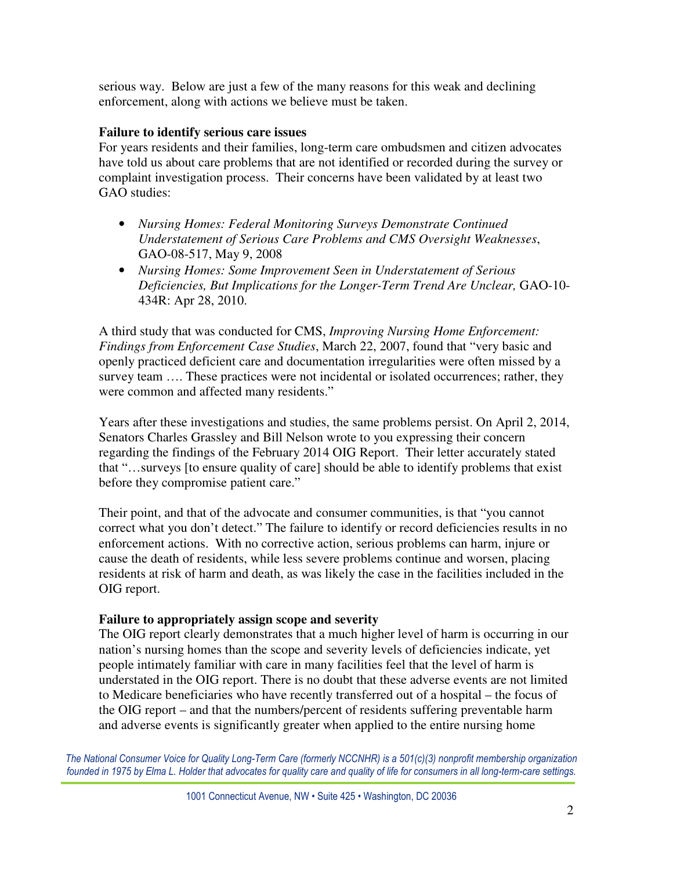serious way. Below are just a few of the many reasons for this weak and declining enforcement, along with actions we believe must be taken.

## **Failure to identify serious care issues**

For years residents and their families, long-term care ombudsmen and citizen advocates have told us about care problems that are not identified or recorded during the survey or complaint investigation process. Their concerns have been validated by at least two GAO studies:

- *Nursing Homes: Federal Monitoring Surveys Demonstrate Continued Understatement of Serious Care Problems and CMS Oversight Weaknesses*, GAO-08-517, May 9, 2008
- *Nursing Homes: Some Improvement Seen in Understatement of Serious Deficiencies, But Implications for the Longer-Term Trend Are Unclear,* GAO-10- 434R: Apr 28, 2010.

A third study that was conducted for CMS, *Improving Nursing Home Enforcement: Findings from Enforcement Case Studies*, March 22, 2007, found that "very basic and openly practiced deficient care and documentation irregularities were often missed by a survey team …. These practices were not incidental or isolated occurrences; rather, they were common and affected many residents."

Years after these investigations and studies, the same problems persist. On April 2, 2014, Senators Charles Grassley and Bill Nelson wrote to you expressing their concern regarding the findings of the February 2014 OIG Report. Their letter accurately stated that "…surveys [to ensure quality of care] should be able to identify problems that exist before they compromise patient care."

Their point, and that of the advocate and consumer communities, is that "you cannot correct what you don't detect." The failure to identify or record deficiencies results in no enforcement actions. With no corrective action, serious problems can harm, injure or cause the death of residents, while less severe problems continue and worsen, placing residents at risk of harm and death, as was likely the case in the facilities included in the OIG report.

#### **Failure to appropriately assign scope and severity**

The OIG report clearly demonstrates that a much higher level of harm is occurring in our nation's nursing homes than the scope and severity levels of deficiencies indicate, yet people intimately familiar with care in many facilities feel that the level of harm is understated in the OIG report. There is no doubt that these adverse events are not limited to Medicare beneficiaries who have recently transferred out of a hospital – the focus of the OIG report – and that the numbers/percent of residents suffering preventable harm and adverse events is significantly greater when applied to the entire nursing home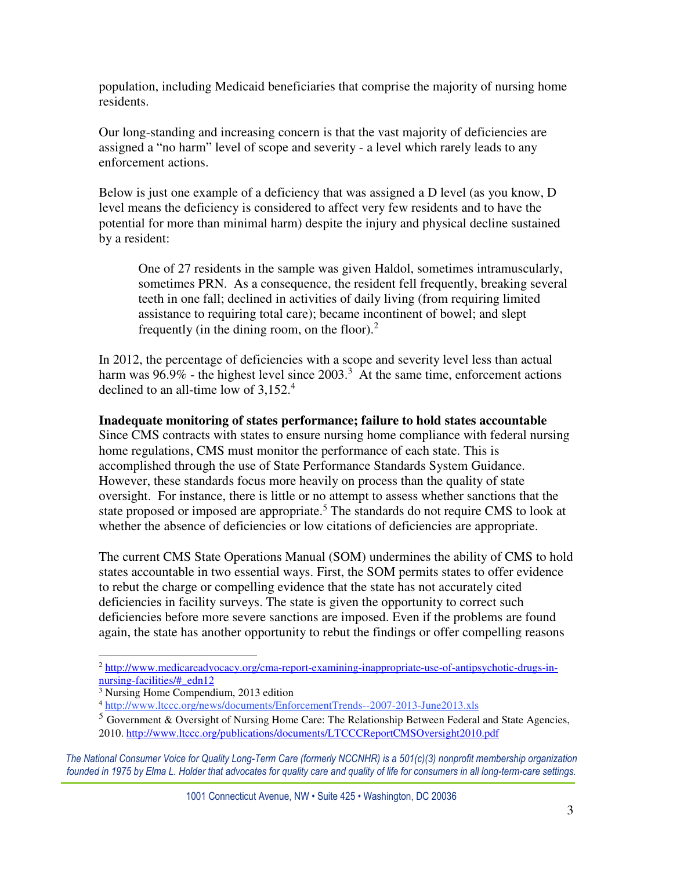population, including Medicaid beneficiaries that comprise the majority of nursing home residents.

Our long-standing and increasing concern is that the vast majority of deficiencies are assigned a "no harm" level of scope and severity - a level which rarely leads to any enforcement actions.

Below is just one example of a deficiency that was assigned a D level (as you know, D level means the deficiency is considered to affect very few residents and to have the potential for more than minimal harm) despite the injury and physical decline sustained by a resident:

One of 27 residents in the sample was given Haldol, sometimes intramuscularly, sometimes PRN. As a consequence, the resident fell frequently, breaking several teeth in one fall; declined in activities of daily living (from requiring limited assistance to requiring total care); became incontinent of bowel; and slept frequently (in the dining room, on the floor). $<sup>2</sup>$ </sup>

In 2012, the percentage of deficiencies with a scope and severity level less than actual harm was  $96.9\%$  - the highest level since  $2003.<sup>3</sup>$  At the same time, enforcement actions declined to an all-time low of  $3,152.^4$ 

### **Inadequate monitoring of states performance; failure to hold states accountable**

Since CMS contracts with states to ensure nursing home compliance with federal nursing home regulations, CMS must monitor the performance of each state. This is accomplished through the use of State Performance Standards System Guidance. However, these standards focus more heavily on process than the quality of state oversight. For instance, there is little or no attempt to assess whether sanctions that the state proposed or imposed are appropriate.<sup>5</sup> The standards do not require CMS to look at whether the absence of deficiencies or low citations of deficiencies are appropriate.

The current CMS State Operations Manual (SOM) undermines the ability of CMS to hold states accountable in two essential ways. First, the SOM permits states to offer evidence to rebut the charge or compelling evidence that the state has not accurately cited deficiencies in facility surveys. The state is given the opportunity to correct such deficiencies before more severe sanctions are imposed. Even if the problems are found again, the state has another opportunity to rebut the findings or offer compelling reasons

 $\overline{a}$ 

<sup>&</sup>lt;sup>2</sup> http://www.medicareadvocacy.org/cma-report-examining-inappropriate-use-of-antipsychotic-drugs-innursing-facilities/#\_edn12

<sup>3</sup> Nursing Home Compendium, 2013 edition

<sup>4</sup> http://www.ltccc.org/news/documents/EnforcementTrends--2007-2013-June2013.xls

 $<sup>5</sup>$  Government & Oversight of Nursing Home Care: The Relationship Between Federal and State Agencies,</sup> 2010. http://www.ltccc.org/publications/documents/LTCCCReportCMSOversight2010.pdf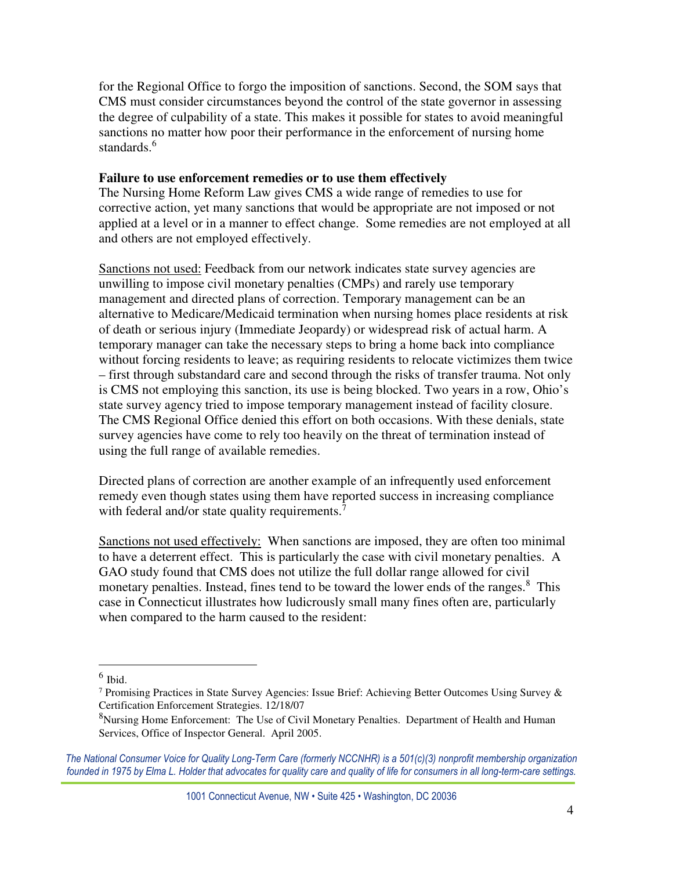for the Regional Office to forgo the imposition of sanctions. Second, the SOM says that CMS must consider circumstances beyond the control of the state governor in assessing the degree of culpability of a state. This makes it possible for states to avoid meaningful sanctions no matter how poor their performance in the enforcement of nursing home standards.<sup>6</sup>

#### **Failure to use enforcement remedies or to use them effectively**

The Nursing Home Reform Law gives CMS a wide range of remedies to use for corrective action, yet many sanctions that would be appropriate are not imposed or not applied at a level or in a manner to effect change. Some remedies are not employed at all and others are not employed effectively.

Sanctions not used: Feedback from our network indicates state survey agencies are unwilling to impose civil monetary penalties (CMPs) and rarely use temporary management and directed plans of correction. Temporary management can be an alternative to Medicare/Medicaid termination when nursing homes place residents at risk of death or serious injury (Immediate Jeopardy) or widespread risk of actual harm. A temporary manager can take the necessary steps to bring a home back into compliance without forcing residents to leave; as requiring residents to relocate victimizes them twice – first through substandard care and second through the risks of transfer trauma. Not only is CMS not employing this sanction, its use is being blocked. Two years in a row, Ohio's state survey agency tried to impose temporary management instead of facility closure. The CMS Regional Office denied this effort on both occasions. With these denials, state survey agencies have come to rely too heavily on the threat of termination instead of using the full range of available remedies.

Directed plans of correction are another example of an infrequently used enforcement remedy even though states using them have reported success in increasing compliance with federal and/or state quality requirements.<sup>7</sup>

Sanctions not used effectively: When sanctions are imposed, they are often too minimal to have a deterrent effect. This is particularly the case with civil monetary penalties. A GAO study found that CMS does not utilize the full dollar range allowed for civil monetary penalties. Instead, fines tend to be toward the lower ends of the ranges.<sup>8</sup> This case in Connecticut illustrates how ludicrously small many fines often are, particularly when compared to the harm caused to the resident:

<sup>6</sup> Ibid.

<sup>7</sup> Promising Practices in State Survey Agencies: Issue Brief: Achieving Better Outcomes Using Survey & Certification Enforcement Strategies. 12/18/07

<sup>&</sup>lt;sup>8</sup>Nursing Home Enforcement: The Use of Civil Monetary Penalties. Department of Health and Human Services, Office of Inspector General. April 2005.

The National Consumer Voice for Quality Long-Term Care (formerly NCCNHR) is a 501(c)(3) nonprofit membership organization founded in 1975 by Elma L. Holder that advocates for quality care and quality of life for consumers in all long-term-care settings.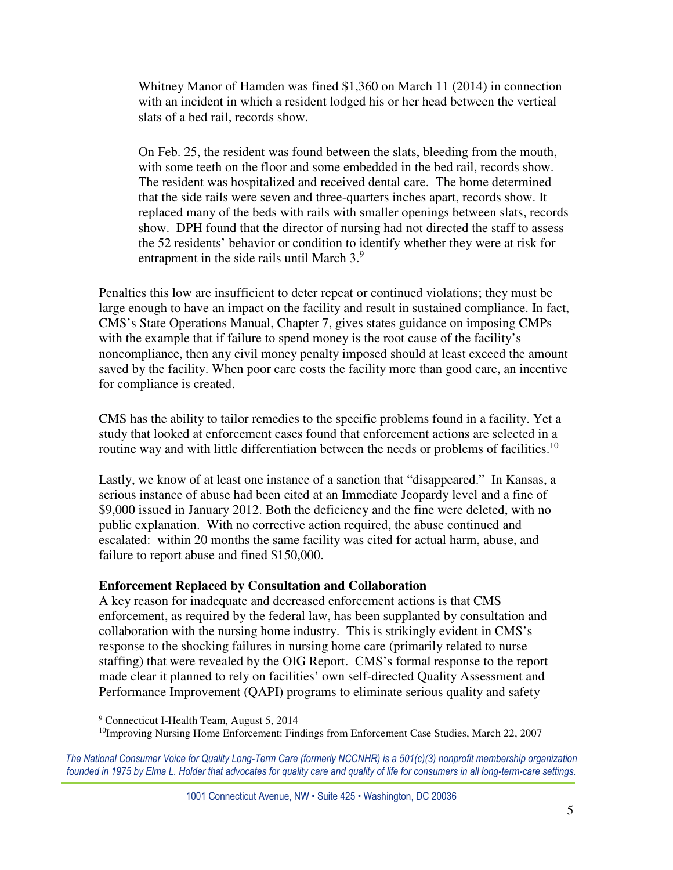Whitney Manor of Hamden was fined \$1,360 on March 11 (2014) in connection with an incident in which a resident lodged his or her head between the vertical slats of a bed rail, records show.

On Feb. 25, the resident was found between the slats, bleeding from the mouth, with some teeth on the floor and some embedded in the bed rail, records show. The resident was hospitalized and received dental care. The home determined that the side rails were seven and three-quarters inches apart, records show. It replaced many of the beds with rails with smaller openings between slats, records show. DPH found that the director of nursing had not directed the staff to assess the 52 residents' behavior or condition to identify whether they were at risk for entrapment in the side rails until March 3.9

Penalties this low are insufficient to deter repeat or continued violations; they must be large enough to have an impact on the facility and result in sustained compliance. In fact, CMS's State Operations Manual, Chapter 7, gives states guidance on imposing CMPs with the example that if failure to spend money is the root cause of the facility's noncompliance, then any civil money penalty imposed should at least exceed the amount saved by the facility. When poor care costs the facility more than good care, an incentive for compliance is created.

CMS has the ability to tailor remedies to the specific problems found in a facility. Yet a study that looked at enforcement cases found that enforcement actions are selected in a routine way and with little differentiation between the needs or problems of facilities.<sup>10</sup>

Lastly, we know of at least one instance of a sanction that "disappeared." In Kansas, a serious instance of abuse had been cited at an Immediate Jeopardy level and a fine of \$9,000 issued in January 2012. Both the deficiency and the fine were deleted, with no public explanation. With no corrective action required, the abuse continued and escalated: within 20 months the same facility was cited for actual harm, abuse, and failure to report abuse and fined \$150,000.

#### **Enforcement Replaced by Consultation and Collaboration**

A key reason for inadequate and decreased enforcement actions is that CMS enforcement, as required by the federal law, has been supplanted by consultation and collaboration with the nursing home industry. This is strikingly evident in CMS's response to the shocking failures in nursing home care (primarily related to nurse staffing) that were revealed by the OIG Report. CMS's formal response to the report made clear it planned to rely on facilities' own self-directed Quality Assessment and Performance Improvement (QAPI) programs to eliminate serious quality and safety

<sup>&</sup>lt;sup>9</sup> Connecticut I-Health Team, August 5, 2014

<sup>10</sup>Improving Nursing Home Enforcement: Findings from Enforcement Case Studies, March 22, 2007

The National Consumer Voice for Quality Long-Term Care (formerly NCCNHR) is a 501(c)(3) nonprofit membership organization founded in 1975 by Elma L. Holder that advocates for quality care and quality of life for consumers in all long-term-care settings.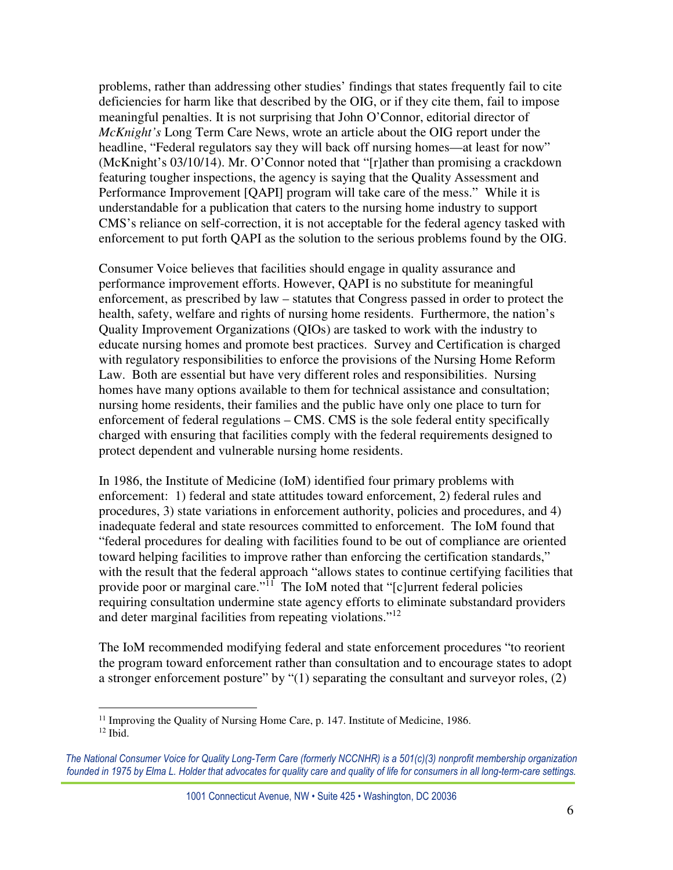problems, rather than addressing other studies' findings that states frequently fail to cite deficiencies for harm like that described by the OIG, or if they cite them, fail to impose meaningful penalties. It is not surprising that John O'Connor, editorial director of *McKnight's* Long Term Care News, wrote an article about the OIG report under the headline, "Federal regulators say they will back off nursing homes—at least for now" (McKnight's 03/10/14). Mr. O'Connor noted that "[r]ather than promising a crackdown featuring tougher inspections, the agency is saying that the Quality Assessment and Performance Improvement [QAPI] program will take care of the mess." While it is understandable for a publication that caters to the nursing home industry to support CMS's reliance on self-correction, it is not acceptable for the federal agency tasked with enforcement to put forth QAPI as the solution to the serious problems found by the OIG.

Consumer Voice believes that facilities should engage in quality assurance and performance improvement efforts. However, QAPI is no substitute for meaningful enforcement, as prescribed by law – statutes that Congress passed in order to protect the health, safety, welfare and rights of nursing home residents. Furthermore, the nation's Quality Improvement Organizations (QIOs) are tasked to work with the industry to educate nursing homes and promote best practices. Survey and Certification is charged with regulatory responsibilities to enforce the provisions of the Nursing Home Reform Law. Both are essential but have very different roles and responsibilities. Nursing homes have many options available to them for technical assistance and consultation; nursing home residents, their families and the public have only one place to turn for enforcement of federal regulations – CMS. CMS is the sole federal entity specifically charged with ensuring that facilities comply with the federal requirements designed to protect dependent and vulnerable nursing home residents.

In 1986, the Institute of Medicine (IoM) identified four primary problems with enforcement: 1) federal and state attitudes toward enforcement, 2) federal rules and procedures, 3) state variations in enforcement authority, policies and procedures, and 4) inadequate federal and state resources committed to enforcement. The IoM found that "federal procedures for dealing with facilities found to be out of compliance are oriented toward helping facilities to improve rather than enforcing the certification standards," with the result that the federal approach "allows states to continue certifying facilities that provide poor or marginal care."<sup>11</sup> The IoM noted that "[c]urrent federal policies requiring consultation undermine state agency efforts to eliminate substandard providers and deter marginal facilities from repeating violations."<sup>12</sup>

The IoM recommended modifying federal and state enforcement procedures "to reorient the program toward enforcement rather than consultation and to encourage states to adopt a stronger enforcement posture" by "(1) separating the consultant and surveyor roles, (2)

<sup>&</sup>lt;sup>11</sup> Improving the Quality of Nursing Home Care, p. 147. Institute of Medicine, 1986.  $12$  Ibid.

The National Consumer Voice for Quality Long-Term Care (formerly NCCNHR) is a 501(c)(3) nonprofit membership organization founded in 1975 by Elma L. Holder that advocates for quality care and quality of life for consumers in all long-term-care settings.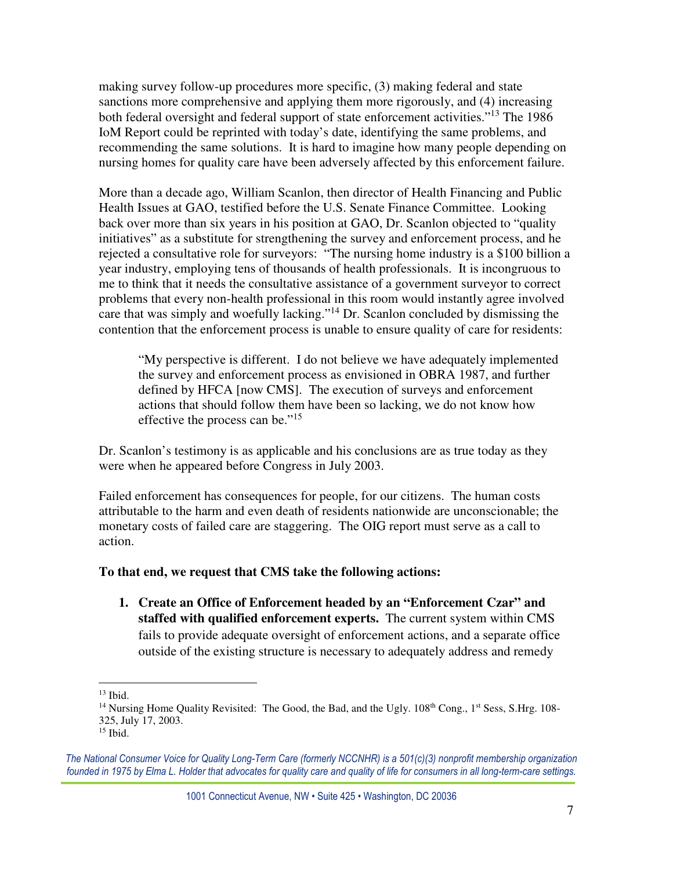making survey follow-up procedures more specific, (3) making federal and state sanctions more comprehensive and applying them more rigorously, and (4) increasing both federal oversight and federal support of state enforcement activities."<sup>13</sup> The 1986 IoM Report could be reprinted with today's date, identifying the same problems, and recommending the same solutions. It is hard to imagine how many people depending on nursing homes for quality care have been adversely affected by this enforcement failure.

More than a decade ago, William Scanlon, then director of Health Financing and Public Health Issues at GAO, testified before the U.S. Senate Finance Committee. Looking back over more than six years in his position at GAO, Dr. Scanlon objected to "quality initiatives" as a substitute for strengthening the survey and enforcement process, and he rejected a consultative role for surveyors: "The nursing home industry is a \$100 billion a year industry, employing tens of thousands of health professionals. It is incongruous to me to think that it needs the consultative assistance of a government surveyor to correct problems that every non-health professional in this room would instantly agree involved care that was simply and woefully lacking."<sup>14</sup> Dr. Scanlon concluded by dismissing the contention that the enforcement process is unable to ensure quality of care for residents:

"My perspective is different. I do not believe we have adequately implemented the survey and enforcement process as envisioned in OBRA 1987, and further defined by HFCA [now CMS]. The execution of surveys and enforcement actions that should follow them have been so lacking, we do not know how effective the process can be."<sup>15</sup>

Dr. Scanlon's testimony is as applicable and his conclusions are as true today as they were when he appeared before Congress in July 2003.

Failed enforcement has consequences for people, for our citizens. The human costs attributable to the harm and even death of residents nationwide are unconscionable; the monetary costs of failed care are staggering. The OIG report must serve as a call to action.

#### **To that end, we request that CMS take the following actions:**

**1. Create an Office of Enforcement headed by an "Enforcement Czar" and staffed with qualified enforcement experts.** The current system within CMS fails to provide adequate oversight of enforcement actions, and a separate office outside of the existing structure is necessary to adequately address and remedy

 $\overline{a}$ <sup>13</sup> Ibid.

<sup>&</sup>lt;sup>14</sup> Nursing Home Quality Revisited: The Good, the Bad, and the Ugly.  $108<sup>th</sup>$  Cong.,  $1<sup>st</sup>$  Sess, S.Hrg.  $108-$ 325, July 17, 2003.

<sup>15</sup> Ibid.

The National Consumer Voice for Quality Long-Term Care (formerly NCCNHR) is a 501(c)(3) nonprofit membership organization founded in 1975 by Elma L. Holder that advocates for quality care and quality of life for consumers in all long-term-care settings.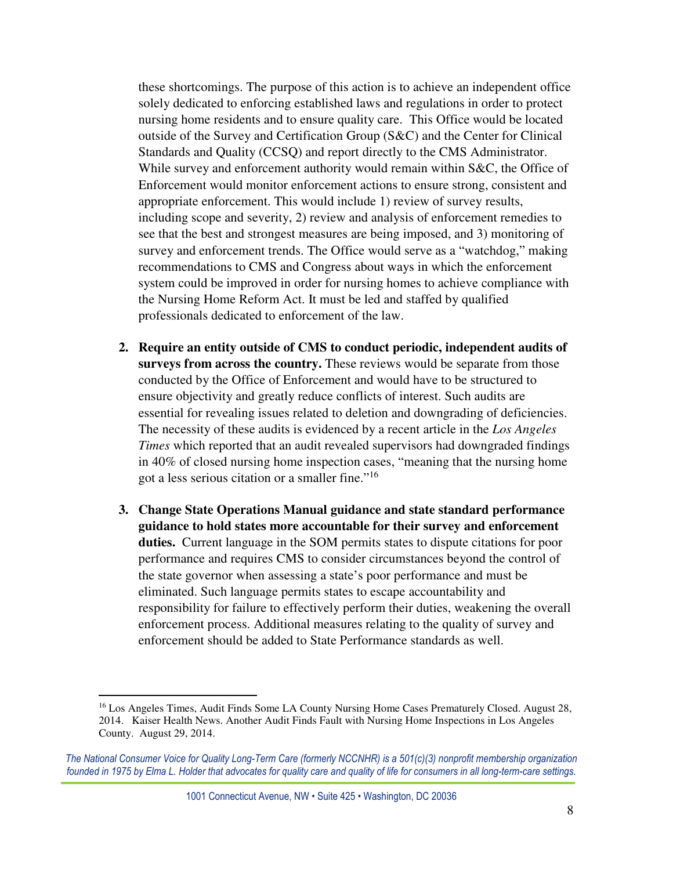these shortcomings. The purpose of this action is to achieve an independent office solely dedicated to enforcing established laws and regulations in order to protect nursing home residents and to ensure quality care. This Office would be located outside of the Survey and Certification Group (S&C) and the Center for Clinical Standards and Quality (CCSQ) and report directly to the CMS Administrator. While survey and enforcement authority would remain within S&C, the Office of Enforcement would monitor enforcement actions to ensure strong, consistent and appropriate enforcement. This would include 1) review of survey results, including scope and severity, 2) review and analysis of enforcement remedies to see that the best and strongest measures are being imposed, and 3) monitoring of survey and enforcement trends. The Office would serve as a "watchdog," making recommendations to CMS and Congress about ways in which the enforcement system could be improved in order for nursing homes to achieve compliance with the Nursing Home Reform Act. It must be led and staffed by qualified professionals dedicated to enforcement of the law.

- **2. Require an entity outside of CMS to conduct periodic, independent audits of surveys from across the country.** These reviews would be separate from those conducted by the Office of Enforcement and would have to be structured to ensure objectivity and greatly reduce conflicts of interest. Such audits are essential for revealing issues related to deletion and downgrading of deficiencies. The necessity of these audits is evidenced by a recent article in the *Los Angeles Times* which reported that an audit revealed supervisors had downgraded findings in 40% of closed nursing home inspection cases, "meaning that the nursing home got a less serious citation or a smaller fine."<sup>16</sup>
- **3. Change State Operations Manual guidance and state standard performance guidance to hold states more accountable for their survey and enforcement duties.** Current language in the SOM permits states to dispute citations for poor performance and requires CMS to consider circumstances beyond the control of the state governor when assessing a state's poor performance and must be eliminated. Such language permits states to escape accountability and responsibility for failure to effectively perform their duties, weakening the overall enforcement process. Additional measures relating to the quality of survey and enforcement should be added to State Performance standards as well.

<sup>&</sup>lt;sup>16</sup> Los Angeles Times, Audit Finds Some LA County Nursing Home Cases Prematurely Closed. August 28, 2014. Kaiser Health News. Another Audit Finds Fault with Nursing Home Inspections in Los Angeles County. August 29, 2014.

The National Consumer Voice for Quality Long-Term Care (formerly NCCNHR) is a 501(c)(3) nonprofit membership organization founded in 1975 by Elma L. Holder that advocates for quality care and quality of life for consumers in all long-term-care settings.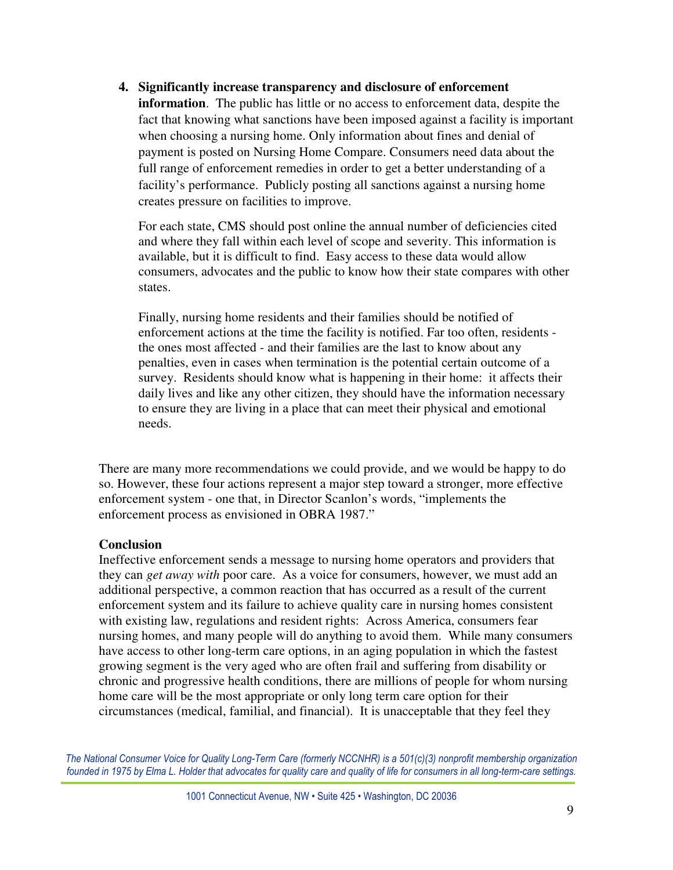**4. Significantly increase transparency and disclosure of enforcement** 

**information**. The public has little or no access to enforcement data, despite the fact that knowing what sanctions have been imposed against a facility is important when choosing a nursing home. Only information about fines and denial of payment is posted on Nursing Home Compare. Consumers need data about the full range of enforcement remedies in order to get a better understanding of a facility's performance. Publicly posting all sanctions against a nursing home creates pressure on facilities to improve.

For each state, CMS should post online the annual number of deficiencies cited and where they fall within each level of scope and severity. This information is available, but it is difficult to find. Easy access to these data would allow consumers, advocates and the public to know how their state compares with other states.

Finally, nursing home residents and their families should be notified of enforcement actions at the time the facility is notified. Far too often, residents the ones most affected - and their families are the last to know about any penalties, even in cases when termination is the potential certain outcome of a survey. Residents should know what is happening in their home: it affects their daily lives and like any other citizen, they should have the information necessary to ensure they are living in a place that can meet their physical and emotional needs.

There are many more recommendations we could provide, and we would be happy to do so. However, these four actions represent a major step toward a stronger, more effective enforcement system - one that, in Director Scanlon's words, "implements the enforcement process as envisioned in OBRA 1987."

# **Conclusion**

Ineffective enforcement sends a message to nursing home operators and providers that they can *get away with* poor care. As a voice for consumers, however, we must add an additional perspective, a common reaction that has occurred as a result of the current enforcement system and its failure to achieve quality care in nursing homes consistent with existing law, regulations and resident rights: Across America, consumers fear nursing homes, and many people will do anything to avoid them. While many consumers have access to other long-term care options, in an aging population in which the fastest growing segment is the very aged who are often frail and suffering from disability or chronic and progressive health conditions, there are millions of people for whom nursing home care will be the most appropriate or only long term care option for their circumstances (medical, familial, and financial). It is unacceptable that they feel they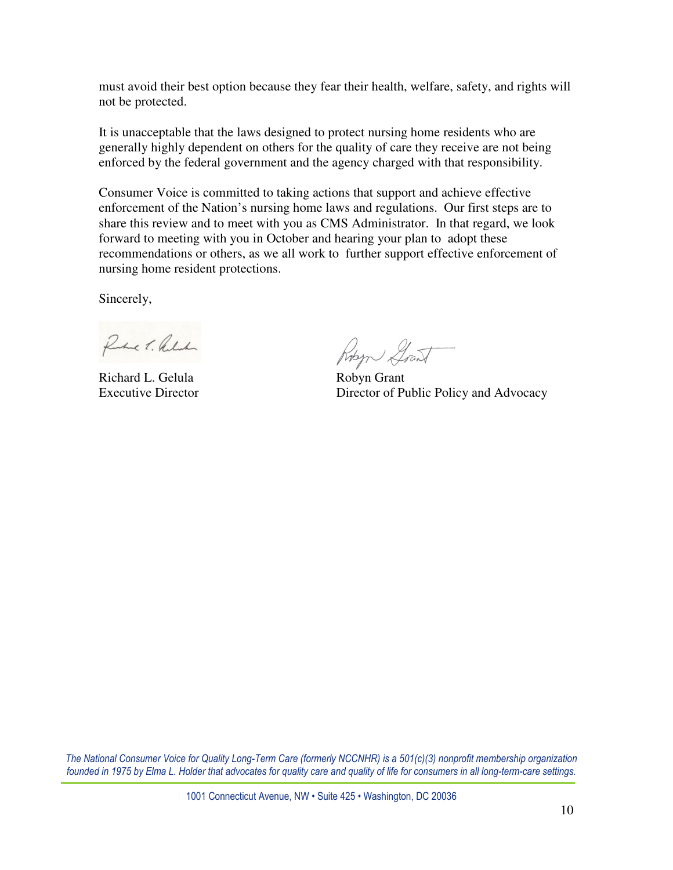must avoid their best option because they fear their health, welfare, safety, and rights will not be protected.

It is unacceptable that the laws designed to protect nursing home residents who are generally highly dependent on others for the quality of care they receive are not being enforced by the federal government and the agency charged with that responsibility.

Consumer Voice is committed to taking actions that support and achieve effective enforcement of the Nation's nursing home laws and regulations. Our first steps are to share this review and to meet with you as CMS Administrator. In that regard, we look forward to meeting with you in October and hearing your plan to adopt these recommendations or others, as we all work to further support effective enforcement of nursing home resident protections.

Sincerely,

Rue T. Relation

Richard L. Gelula Robyn Grant

Robert Grant

Executive Director Director Director Director of Public Policy and Advocacy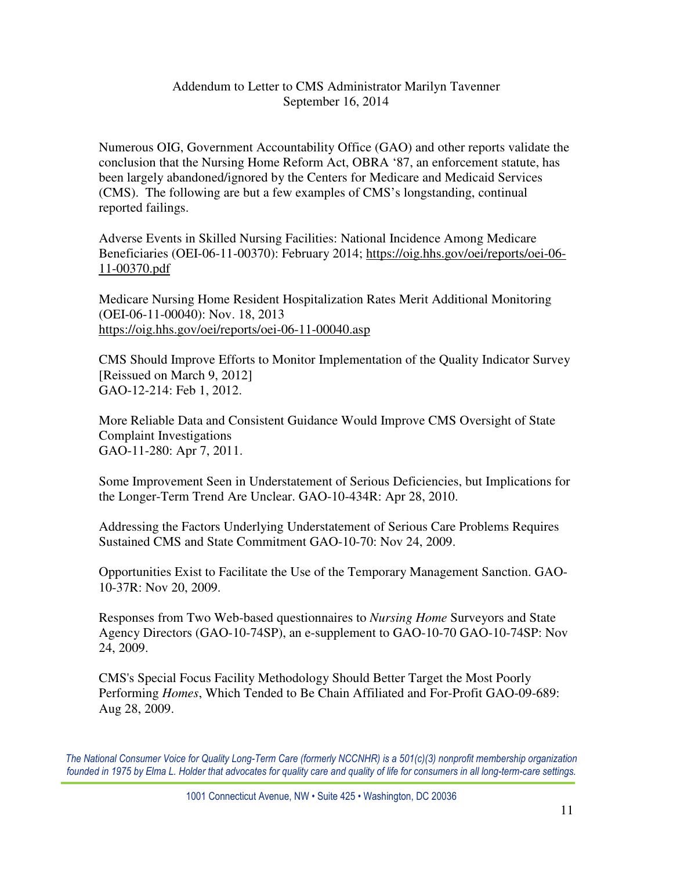# Addendum to Letter to CMS Administrator Marilyn Tavenner September 16, 2014

Numerous OIG, Government Accountability Office (GAO) and other reports validate the conclusion that the Nursing Home Reform Act, OBRA '87, an enforcement statute, has been largely abandoned/ignored by the Centers for Medicare and Medicaid Services (CMS). The following are but a few examples of CMS's longstanding, continual reported failings.

Adverse Events in Skilled Nursing Facilities: National Incidence Among Medicare Beneficiaries (OEI-06-11-00370): February 2014; https://oig.hhs.gov/oei/reports/oei-06- 11-00370.pdf

Medicare Nursing Home Resident Hospitalization Rates Merit Additional Monitoring (OEI-06-11-00040): Nov. 18, 2013 https://oig.hhs.gov/oei/reports/oei-06-11-00040.asp

CMS Should Improve Efforts to Monitor Implementation of the Quality Indicator Survey [Reissued on March 9, 2012] GAO-12-214: Feb 1, 2012.

More Reliable Data and Consistent Guidance Would Improve CMS Oversight of State Complaint Investigations GAO-11-280: Apr 7, 2011.

Some Improvement Seen in Understatement of Serious Deficiencies, but Implications for the Longer-Term Trend Are Unclear. GAO-10-434R: Apr 28, 2010.

Addressing the Factors Underlying Understatement of Serious Care Problems Requires Sustained CMS and State Commitment GAO-10-70: Nov 24, 2009.

Opportunities Exist to Facilitate the Use of the Temporary Management Sanction. GAO-10-37R: Nov 20, 2009.

Responses from Two Web-based questionnaires to *Nursing Home* Surveyors and State Agency Directors (GAO-10-74SP), an e-supplement to GAO-10-70 GAO-10-74SP: Nov 24, 2009.

CMS's Special Focus Facility Methodology Should Better Target the Most Poorly Performing *Homes*, Which Tended to Be Chain Affiliated and For-Profit GAO-09-689: Aug 28, 2009.

The National Consumer Voice for Quality Long-Term Care (formerly NCCNHR) is a 501(c)(3) nonprofit membership organization founded in 1975 by Elma L. Holder that advocates for quality care and quality of life for consumers in all long-term-care settings.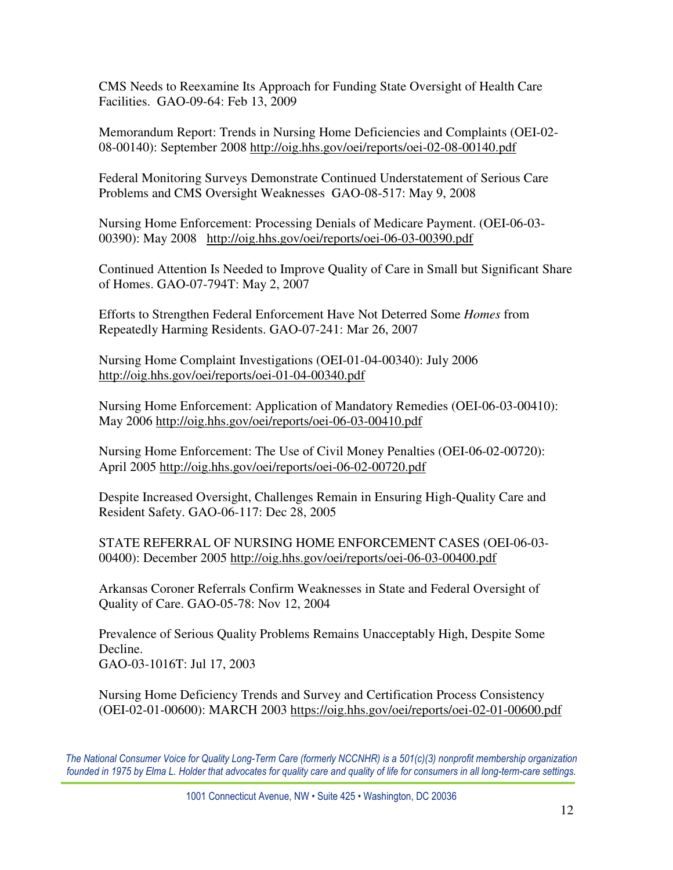CMS Needs to Reexamine Its Approach for Funding State Oversight of Health Care Facilities. GAO-09-64: Feb 13, 2009

Memorandum Report: Trends in Nursing Home Deficiencies and Complaints (OEI-02- 08-00140): September 2008 http://oig.hhs.gov/oei/reports/oei-02-08-00140.pdf

Federal Monitoring Surveys Demonstrate Continued Understatement of Serious Care Problems and CMS Oversight Weaknesses GAO-08-517: May 9, 2008

Nursing Home Enforcement: Processing Denials of Medicare Payment. (OEI-06-03- 00390): May 2008 http://oig.hhs.gov/oei/reports/oei-06-03-00390.pdf

Continued Attention Is Needed to Improve Quality of Care in Small but Significant Share of Homes. GAO-07-794T: May 2, 2007

Efforts to Strengthen Federal Enforcement Have Not Deterred Some *Homes* from Repeatedly Harming Residents. GAO-07-241: Mar 26, 2007

Nursing Home Complaint Investigations (OEI-01-04-00340): July 2006 http://oig.hhs.gov/oei/reports/oei-01-04-00340.pdf

Nursing Home Enforcement: Application of Mandatory Remedies (OEI-06-03-00410): May 2006 http://oig.hhs.gov/oei/reports/oei-06-03-00410.pdf

Nursing Home Enforcement: The Use of Civil Money Penalties (OEI-06-02-00720): April 2005 http://oig.hhs.gov/oei/reports/oei-06-02-00720.pdf

Despite Increased Oversight, Challenges Remain in Ensuring High-Quality Care and Resident Safety. GAO-06-117: Dec 28, 2005

STATE REFERRAL OF NURSING HOME ENFORCEMENT CASES (OEI-06-03- 00400): December 2005 http://oig.hhs.gov/oei/reports/oei-06-03-00400.pdf

Arkansas Coroner Referrals Confirm Weaknesses in State and Federal Oversight of Quality of Care. GAO-05-78: Nov 12, 2004

Prevalence of Serious Quality Problems Remains Unacceptably High, Despite Some Decline. GAO-03-1016T: Jul 17, 2003

Nursing Home Deficiency Trends and Survey and Certification Process Consistency (OEI-02-01-00600): MARCH 2003 https://oig.hhs.gov/oei/reports/oei-02-01-00600.pdf